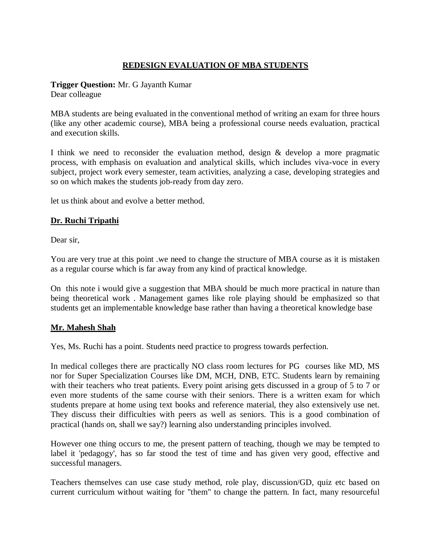# **REDESIGN EVALUATION OF MBA STUDENTS**

**Trigger Question:** Mr. G Jayanth Kumar

Dear colleague

MBA students are being evaluated in the conventional method of writing an exam for three hours (like any other academic course), MBA being a professional course needs evaluation, practical and execution skills.

I think we need to reconsider the evaluation method, design  $\&$  develop a more pragmatic process, with emphasis on evaluation and analytical skills, which includes viva-voce in every subject, project work every semester, team activities, analyzing a case, developing strategies and so on which makes the students job-ready from day zero.

let us think about and evolve a better method.

### **Dr. Ruchi Tripathi**

Dear sir,

You are very true at this point .we need to change the structure of MBA course as it is mistaken as a regular course which is far away from any kind of practical knowledge.

On this note i would give a suggestion that MBA should be much more practical in nature than being theoretical work . Management games like role playing should be emphasized so that students get an implementable knowledge base rather than having a theoretical knowledge base

#### **Mr. Mahesh Shah**

Yes, Ms. Ruchi has a point. Students need practice to progress towards perfection.

In medical colleges there are practically NO class room lectures for PG courses like MD, MS nor for Super Specialization Courses like DM, MCH, DNB, ETC. Students learn by remaining with their teachers who treat patients. Every point arising gets discussed in a group of 5 to 7 or even more students of the same course with their seniors. There is a written exam for which students prepare at home using text books and reference material, they also extensively use net. They discuss their difficulties with peers as well as seniors. This is a good combination of practical (hands on, shall we say?) learning also understanding principles involved.

However one thing occurs to me, the present pattern of teaching, though we may be tempted to label it 'pedagogy', has so far stood the test of time and has given very good, effective and successful managers.

Teachers themselves can use case study method, role play, discussion/GD, quiz etc based on current curriculum without waiting for "them" to change the pattern. In fact, many resourceful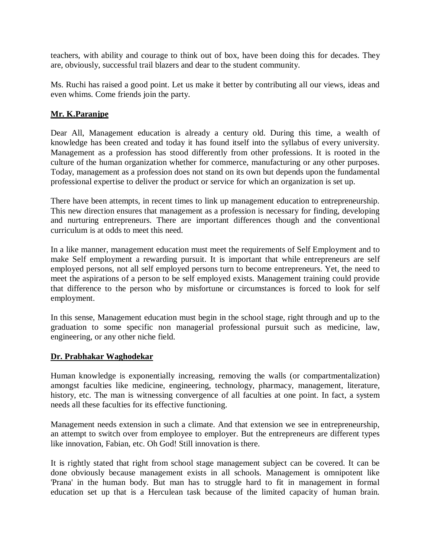teachers, with ability and courage to think out of box, have been doing this for decades. They are, obviously, successful trail blazers and dear to the student community.

Ms. Ruchi has raised a good point. Let us make it better by contributing all our views, ideas and even whims. Come friends join the party.

## **Mr. K.Paranjpe**

Dear All, Management education is already a century old. During this time, a wealth of knowledge has been created and today it has found itself into the syllabus of every university. Management as a profession has stood differently from other professions. It is rooted in the culture of the human organization whether for commerce, manufacturing or any other purposes. Today, management as a profession does not stand on its own but depends upon the fundamental professional expertise to deliver the product or service for which an organization is set up.

There have been attempts, in recent times to link up management education to entrepreneurship. This new direction ensures that management as a profession is necessary for finding, developing and nurturing entrepreneurs. There are important differences though and the conventional curriculum is at odds to meet this need.

In a like manner, management education must meet the requirements of Self Employment and to make Self employment a rewarding pursuit. It is important that while entrepreneurs are self employed persons, not all self employed persons turn to become entrepreneurs. Yet, the need to meet the aspirations of a person to be self employed exists. Management training could provide that difference to the person who by misfortune or circumstances is forced to look for self employment.

In this sense, Management education must begin in the school stage, right through and up to the graduation to some specific non managerial professional pursuit such as medicine, law, engineering, or any other niche field.

#### **Dr. Prabhakar Waghodekar**

Human knowledge is exponentially increasing, removing the walls (or compartmentalization) amongst faculties like medicine, engineering, technology, pharmacy, management, literature, history, etc. The man is witnessing convergence of all faculties at one point. In fact, a system needs all these faculties for its effective functioning.

Management needs extension in such a climate. And that extension we see in entrepreneurship, an attempt to switch over from employee to employer. But the entrepreneurs are different types like innovation, Fabian, etc. Oh God! Still innovation is there.

It is rightly stated that right from school stage management subject can be covered. It can be done obviously because management exists in all schools. Management is omnipotent like 'Prana' in the human body. But man has to struggle hard to fit in management in formal education set up that is a Herculean task because of the limited capacity of human brain.